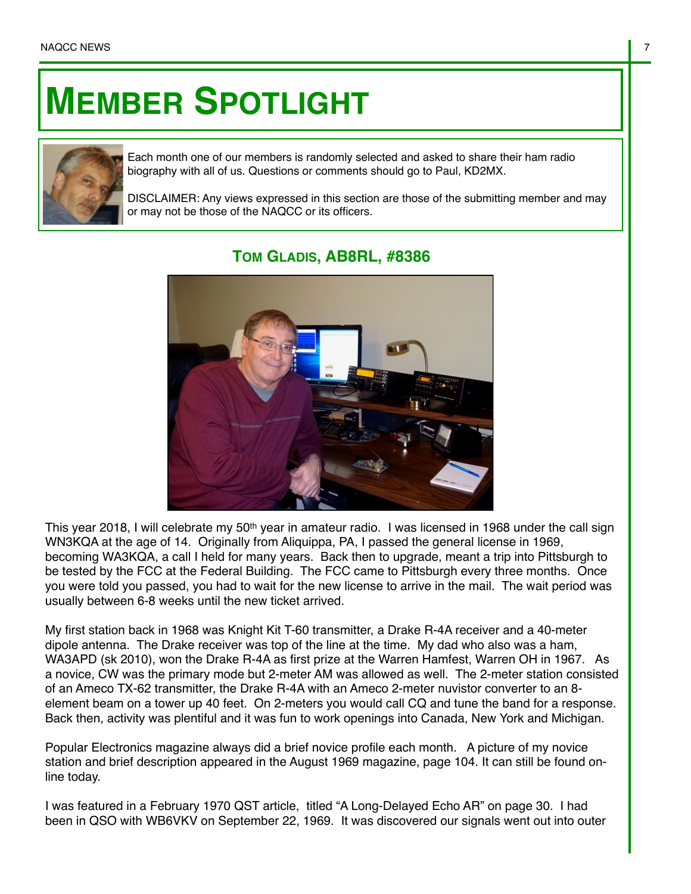## **MEMBER SPOTLIGHT**



Each month one of our members is randomly selected and asked to share their ham radio biography with all of us. Questions or comments should go to Paul, KD2MX.

DISCLAIMER: Any views expressed in this section are those of the submitting member and may or may not be those of the NAQCC or its officers.



## **TOM GLADIS, AB8RL, #8386**

This year 2018, I will celebrate my 50<sup>th</sup> year in amateur radio. I was licensed in 1968 under the call sign WN3KQA at the age of 14. Originally from Aliquippa, PA, I passed the general license in 1969, becoming WA3KQA, a call I held for many years. Back then to upgrade, meant a trip into Pittsburgh to be tested by the FCC at the Federal Building. The FCC came to Pittsburgh every three months. Once you were told you passed, you had to wait for the new license to arrive in the mail. The wait period was usually between 6-8 weeks until the new ticket arrived.

My first station back in 1968 was Knight Kit T-60 transmitter, a Drake R-4A receiver and a 40-meter dipole antenna. The Drake receiver was top of the line at the time. My dad who also was a ham, WA3APD (sk 2010), won the Drake R-4A as first prize at the Warren Hamfest, Warren OH in 1967. As a novice, CW was the primary mode but 2-meter AM was allowed as well. The 2-meter station consisted of an Ameco TX-62 transmitter, the Drake R-4A with an Ameco 2-meter nuvistor converter to an 8 element beam on a tower up 40 feet. On 2-meters you would call CQ and tune the band for a response. Back then, activity was plentiful and it was fun to work openings into Canada, New York and Michigan.

Popular Electronics magazine always did a brief novice profile each month. A picture of my novice station and brief description appeared in the August 1969 magazine, page 104. It can still be found online today.

I was featured in a February 1970 QST article, titled "A Long-Delayed Echo AR" on page 30. I had been in QSO with WB6VKV on September 22, 1969. It was discovered our signals went out into outer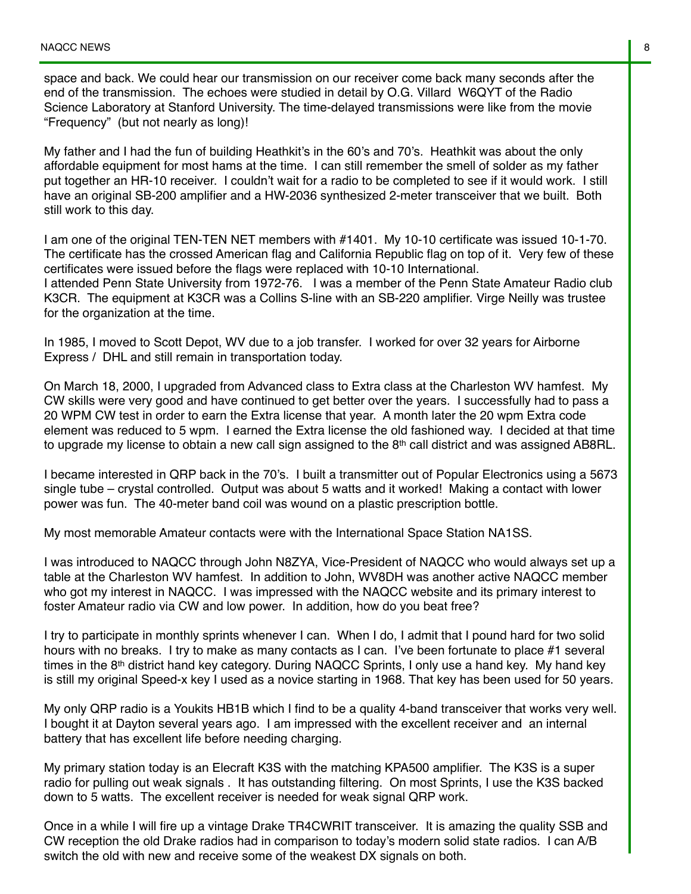space and back. We could hear our transmission on our receiver come back many seconds after the end of the transmission. The echoes were studied in detail by O.G. Villard W6QYT of the Radio Science Laboratory at Stanford University. The time-delayed transmissions were like from the movie "Frequency" (but not nearly as long)!

My father and I had the fun of building Heathkit's in the 60's and 70's. Heathkit was about the only affordable equipment for most hams at the time. I can still remember the smell of solder as my father put together an HR-10 receiver. I couldn't wait for a radio to be completed to see if it would work. I still have an original SB-200 amplifier and a HW-2036 synthesized 2-meter transceiver that we built. Both still work to this day.

I am one of the original TEN-TEN NET members with #1401. My 10-10 certificate was issued 10-1-70. The certificate has the crossed American flag and California Republic flag on top of it. Very few of these certificates were issued before the flags were replaced with 10-10 International. I attended Penn State University from 1972-76. I was a member of the Penn State Amateur Radio club K3CR. The equipment at K3CR was a Collins S-line with an SB-220 amplifier. Virge Neilly was trustee for the organization at the time.

In 1985, I moved to Scott Depot, WV due to a job transfer. I worked for over 32 years for Airborne Express / DHL and still remain in transportation today.

On March 18, 2000, I upgraded from Advanced class to Extra class at the Charleston WV hamfest. My CW skills were very good and have continued to get better over the years. I successfully had to pass a 20 WPM CW test in order to earn the Extra license that year. A month later the 20 wpm Extra code element was reduced to 5 wpm. I earned the Extra license the old fashioned way. I decided at that time to upgrade my license to obtain a new call sign assigned to the  $8<sup>th</sup>$  call district and was assigned AB8RL.

I became interested in QRP back in the 70's. I built a transmitter out of Popular Electronics using a 5673 single tube – crystal controlled. Output was about 5 watts and it worked! Making a contact with lower power was fun. The 40-meter band coil was wound on a plastic prescription bottle.

My most memorable Amateur contacts were with the International Space Station NA1SS.

I was introduced to NAQCC through John N8ZYA, Vice-President of NAQCC who would always set up a table at the Charleston WV hamfest. In addition to John, WV8DH was another active NAQCC member who got my interest in NAQCC. I was impressed with the NAQCC website and its primary interest to foster Amateur radio via CW and low power. In addition, how do you beat free?

I try to participate in monthly sprints whenever I can. When I do, I admit that I pound hard for two solid hours with no breaks. I try to make as many contacts as I can. I've been fortunate to place #1 several times in the 8<sup>th</sup> district hand key category. During NAQCC Sprints, I only use a hand key. My hand key is still my original Speed-x key I used as a novice starting in 1968. That key has been used for 50 years.

My only QRP radio is a Youkits HB1B which I find to be a quality 4-band transceiver that works very well. I bought it at Dayton several years ago. I am impressed with the excellent receiver and an internal battery that has excellent life before needing charging.

My primary station today is an Elecraft K3S with the matching KPA500 amplifier. The K3S is a super radio for pulling out weak signals . It has outstanding filtering. On most Sprints, I use the K3S backed down to 5 watts. The excellent receiver is needed for weak signal QRP work.

Once in a while I will fire up a vintage Drake TR4CWRIT transceiver. It is amazing the quality SSB and CW reception the old Drake radios had in comparison to today's modern solid state radios. I can A/B switch the old with new and receive some of the weakest DX signals on both.